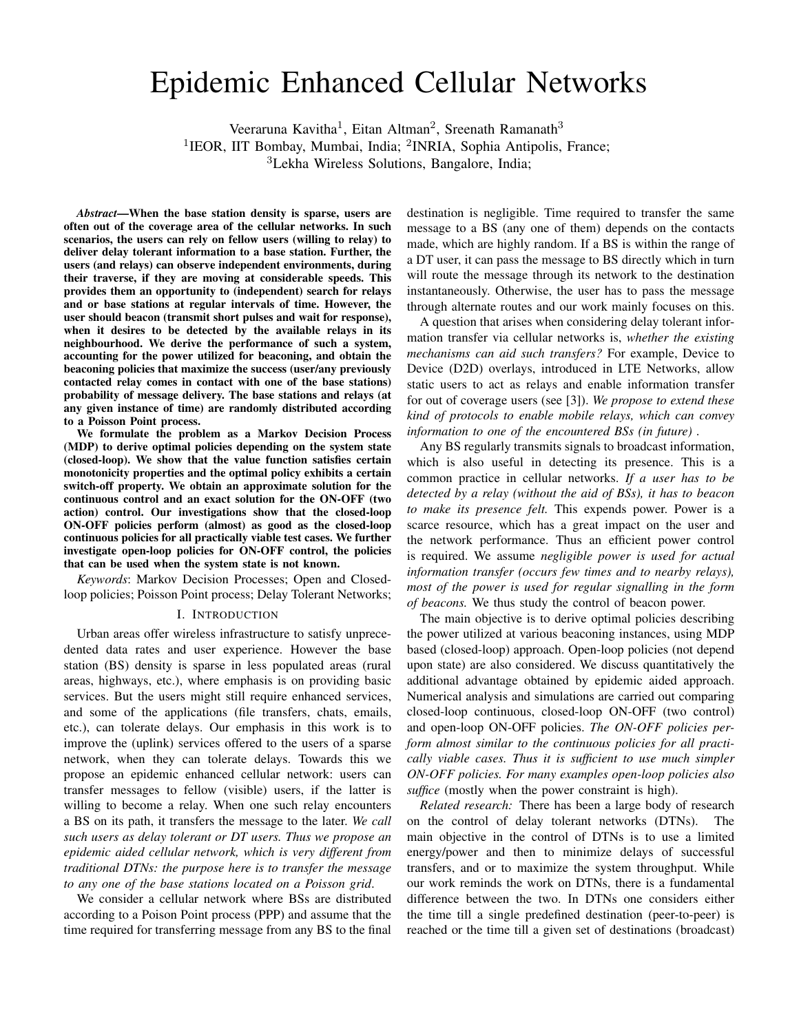# Epidemic Enhanced Cellular Networks

Veeraruna Kavitha<sup>1</sup>, Eitan Altman<sup>2</sup>, Sreenath Ramanath<sup>3</sup>

<sup>1</sup>IEOR, IIT Bombay, Mumbai, India; <sup>2</sup>INRIA, Sophia Antipolis, France;

<sup>3</sup>Lekha Wireless Solutions, Bangalore, India;

*Abstract*—When the base station density is sparse, users are often out of the coverage area of the cellular networks. In such scenarios, the users can rely on fellow users (willing to relay) to deliver delay tolerant information to a base station. Further, the users (and relays) can observe independent environments, during their traverse, if they are moving at considerable speeds. This provides them an opportunity to (independent) search for relays and or base stations at regular intervals of time. However, the user should beacon (transmit short pulses and wait for response), when it desires to be detected by the available relays in its neighbourhood. We derive the performance of such a system, accounting for the power utilized for beaconing, and obtain the beaconing policies that maximize the success (user/any previously contacted relay comes in contact with one of the base stations) probability of message delivery. The base stations and relays (at any given instance of time) are randomly distributed according to a Poisson Point process.

We formulate the problem as a Markov Decision Process (MDP) to derive optimal policies depending on the system state (closed-loop). We show that the value function satisfies certain monotonicity properties and the optimal policy exhibits a certain switch-off property. We obtain an approximate solution for the continuous control and an exact solution for the ON-OFF (two action) control. Our investigations show that the closed-loop ON-OFF policies perform (almost) as good as the closed-loop continuous policies for all practically viable test cases. We further investigate open-loop policies for ON-OFF control, the policies that can be used when the system state is not known.

*Keywords*: Markov Decision Processes; Open and Closedloop policies; Poisson Point process; Delay Tolerant Networks;

#### I. INTRODUCTION

Urban areas offer wireless infrastructure to satisfy unprecedented data rates and user experience. However the base station (BS) density is sparse in less populated areas (rural areas, highways, etc.), where emphasis is on providing basic services. But the users might still require enhanced services, and some of the applications (file transfers, chats, emails, etc.), can tolerate delays. Our emphasis in this work is to improve the (uplink) services offered to the users of a sparse network, when they can tolerate delays. Towards this we propose an epidemic enhanced cellular network: users can transfer messages to fellow (visible) users, if the latter is willing to become a relay. When one such relay encounters a BS on its path, it transfers the message to the later. *We call such users as delay tolerant or DT users. Thus we propose an epidemic aided cellular network, which is very different from traditional DTNs: the purpose here is to transfer the message to any one of the base stations located on a Poisson grid*.

We consider a cellular network where BSs are distributed according to a Poison Point process (PPP) and assume that the time required for transferring message from any BS to the final

destination is negligible. Time required to transfer the same message to a BS (any one of them) depends on the contacts made, which are highly random. If a BS is within the range of a DT user, it can pass the message to BS directly which in turn will route the message through its network to the destination instantaneously. Otherwise, the user has to pass the message through alternate routes and our work mainly focuses on this.

A question that arises when considering delay tolerant information transfer via cellular networks is, *whether the existing mechanisms can aid such transfers?* For example, Device to Device (D2D) overlays, introduced in LTE Networks, allow static users to act as relays and enable information transfer for out of coverage users (see [3]). *We propose to extend these kind of protocols to enable mobile relays, which can convey information to one of the encountered BSs (in future) .*

Any BS regularly transmits signals to broadcast information, which is also useful in detecting its presence. This is a common practice in cellular networks. *If a user has to be detected by a relay (without the aid of BSs), it has to beacon to make its presence felt.* This expends power. Power is a scarce resource, which has a great impact on the user and the network performance. Thus an efficient power control is required. We assume *negligible power is used for actual information transfer (occurs few times and to nearby relays), most of the power is used for regular signalling in the form of beacons.* We thus study the control of beacon power.

The main objective is to derive optimal policies describing the power utilized at various beaconing instances, using MDP based (closed-loop) approach. Open-loop policies (not depend upon state) are also considered. We discuss quantitatively the additional advantage obtained by epidemic aided approach. Numerical analysis and simulations are carried out comparing closed-loop continuous, closed-loop ON-OFF (two control) and open-loop ON-OFF policies. *The ON-OFF policies perform almost similar to the continuous policies for all practically viable cases. Thus it is sufficient to use much simpler ON-OFF policies. For many examples open-loop policies also suffice* (mostly when the power constraint is high).

*Related research:* There has been a large body of research on the control of delay tolerant networks (DTNs). The main objective in the control of DTNs is to use a limited energy/power and then to minimize delays of successful transfers, and or to maximize the system throughput. While our work reminds the work on DTNs, there is a fundamental difference between the two. In DTNs one considers either the time till a single predefined destination (peer-to-peer) is reached or the time till a given set of destinations (broadcast)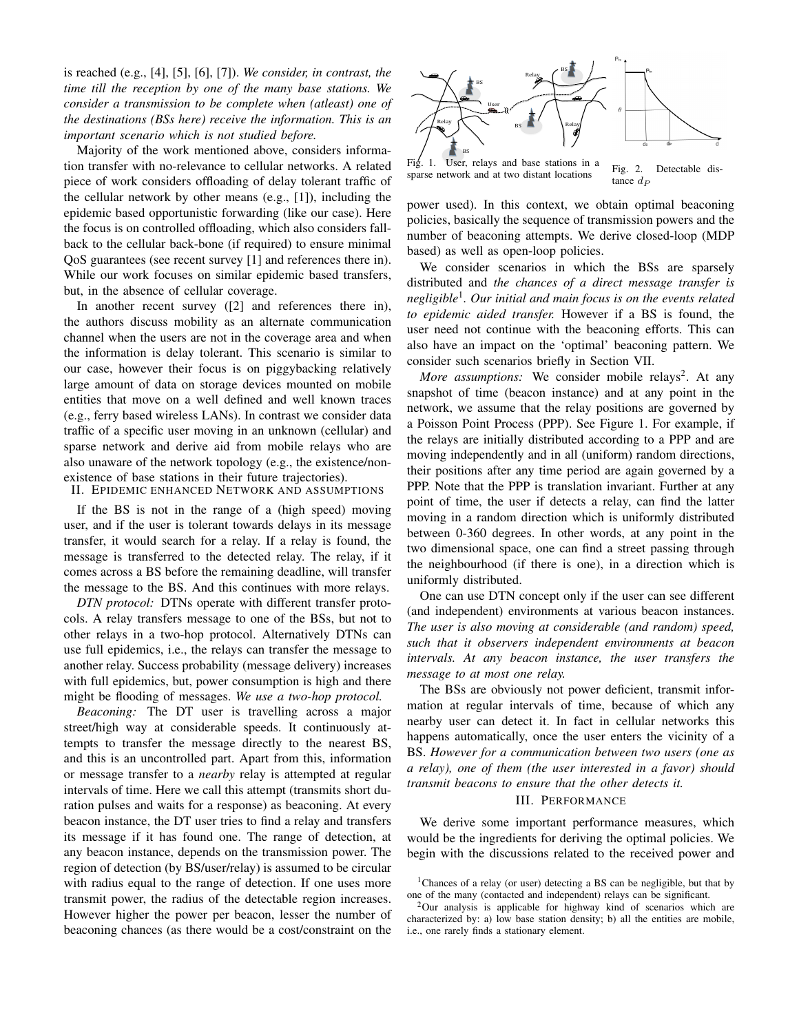is reached (e.g., [4], [5], [6], [7]). *We consider, in contrast, the time till the reception by one of the many base stations. We consider a transmission to be complete when (atleast) one of the destinations (BSs here) receive the information. This is an important scenario which is not studied before.*

Majority of the work mentioned above, considers information transfer with no-relevance to cellular networks. A related piece of work considers offloading of delay tolerant traffic of the cellular network by other means (e.g., [1]), including the epidemic based opportunistic forwarding (like our case). Here the focus is on controlled offloading, which also considers fallback to the cellular back-bone (if required) to ensure minimal QoS guarantees (see recent survey [1] and references there in). While our work focuses on similar epidemic based transfers, but, in the absence of cellular coverage.

In another recent survey ([2] and references there in), the authors discuss mobility as an alternate communication channel when the users are not in the coverage area and when the information is delay tolerant. This scenario is similar to our case, however their focus is on piggybacking relatively large amount of data on storage devices mounted on mobile entities that move on a well defined and well known traces (e.g., ferry based wireless LANs). In contrast we consider data traffic of a specific user moving in an unknown (cellular) and sparse network and derive aid from mobile relays who are also unaware of the network topology (e.g., the existence/nonexistence of base stations in their future trajectories).

II. EPIDEMIC ENHANCED NETWORK AND ASSUMPTIONS

If the BS is not in the range of a (high speed) moving user, and if the user is tolerant towards delays in its message transfer, it would search for a relay. If a relay is found, the message is transferred to the detected relay. The relay, if it comes across a BS before the remaining deadline, will transfer the message to the BS. And this continues with more relays.

*DTN protocol:* DTNs operate with different transfer protocols. A relay transfers message to one of the BSs, but not to other relays in a two-hop protocol. Alternatively DTNs can use full epidemics, i.e., the relays can transfer the message to another relay. Success probability (message delivery) increases with full epidemics, but, power consumption is high and there might be flooding of messages. *We use a two-hop protocol.*

*Beaconing:* The DT user is travelling across a major street/high way at considerable speeds. It continuously attempts to transfer the message directly to the nearest BS, and this is an uncontrolled part. Apart from this, information or message transfer to a *nearby* relay is attempted at regular intervals of time. Here we call this attempt (transmits short duration pulses and waits for a response) as beaconing. At every beacon instance, the DT user tries to find a relay and transfers its message if it has found one. The range of detection, at any beacon instance, depends on the transmission power. The region of detection (by BS/user/relay) is assumed to be circular with radius equal to the range of detection. If one uses more transmit power, the radius of the detectable region increases. However higher the power per beacon, lesser the number of beaconing chances (as there would be a cost/constraint on the



Fig. 1. User, relays and base stations in a Fig. 1. Osci, iclays and base stations in a Fig. 2. Detectable distance  $d_F$ 

power used). In this context, we obtain optimal beaconing policies, basically the sequence of transmission powers and the number of beaconing attempts. We derive closed-loop (MDP based) as well as open-loop policies.

We consider scenarios in which the BSs are sparsely distributed and *the chances of a direct message transfer is negligible*<sup>1</sup> *. Our initial and main focus is on the events related to epidemic aided transfer.* However if a BS is found, the user need not continue with the beaconing efforts. This can also have an impact on the 'optimal' beaconing pattern. We consider such scenarios briefly in Section VII.

More assumptions: We consider mobile relays<sup>2</sup>. At any snapshot of time (beacon instance) and at any point in the network, we assume that the relay positions are governed by a Poisson Point Process (PPP). See Figure 1. For example, if the relays are initially distributed according to a PPP and are moving independently and in all (uniform) random directions, their positions after any time period are again governed by a PPP. Note that the PPP is translation invariant. Further at any point of time, the user if detects a relay, can find the latter moving in a random direction which is uniformly distributed between 0-360 degrees. In other words, at any point in the two dimensional space, one can find a street passing through the neighbourhood (if there is one), in a direction which is uniformly distributed.

One can use DTN concept only if the user can see different (and independent) environments at various beacon instances. *The user is also moving at considerable (and random) speed, such that it observers independent environments at beacon intervals. At any beacon instance, the user transfers the message to at most one relay.*

The BSs are obviously not power deficient, transmit information at regular intervals of time, because of which any nearby user can detect it. In fact in cellular networks this happens automatically, once the user enters the vicinity of a BS. *However for a communication between two users (one as a relay), one of them (the user interested in a favor) should transmit beacons to ensure that the other detects it.*

#### III. PERFORMANCE

We derive some important performance measures, which would be the ingredients for deriving the optimal policies. We begin with the discussions related to the received power and

<sup>&</sup>lt;sup>1</sup>Chances of a relay (or user) detecting a BS can be negligible, but that by one of the many (contacted and independent) relays can be significant.

<sup>2</sup>Our analysis is applicable for highway kind of scenarios which are characterized by: a) low base station density; b) all the entities are mobile, i.e., one rarely finds a stationary element.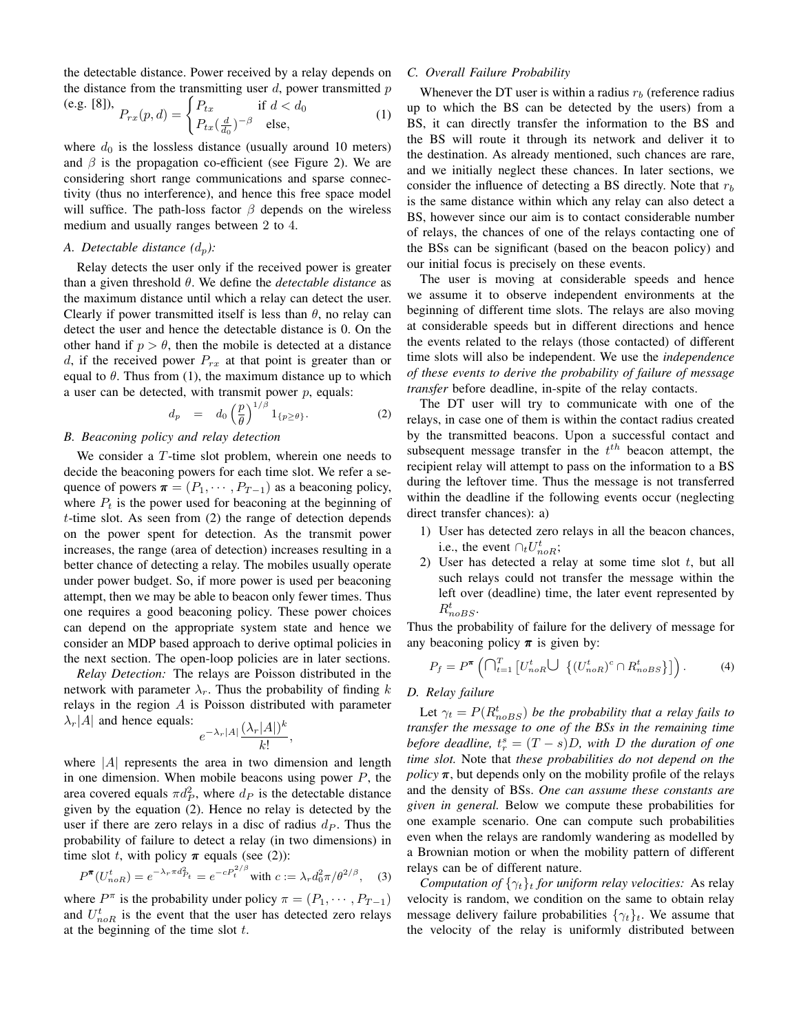the detectable distance. Power received by a relay depends on the distance from the transmitting user  $d$ , power transmitted  $p$ 

(e.g. [8]), 
$$
P_{rx}(p,d) = \begin{cases} P_{tx} & \text{if } d < d_0 \\ P_{tx}(\frac{d}{d_0})^{-\beta} & \text{else,} \end{cases}
$$
 (1)

where  $d_0$  is the lossless distance (usually around 10 meters) and  $\beta$  is the propagation co-efficient (see Figure 2). We are considering short range communications and sparse connectivity (thus no interference), and hence this free space model will suffice. The path-loss factor  $\beta$  depends on the wireless medium and usually ranges between 2 to 4.

#### *A. Detectable distance*  $(d_p)$ :

Relay detects the user only if the received power is greater than a given threshold θ. We define the *detectable distance* as the maximum distance until which a relay can detect the user. Clearly if power transmitted itself is less than  $\theta$ , no relay can detect the user and hence the detectable distance is 0. On the other hand if  $p > \theta$ , then the mobile is detected at a distance d, if the received power  $P_{rx}$  at that point is greater than or equal to  $\theta$ . Thus from (1), the maximum distance up to which a user can be detected, with transmit power  $p$ , equals:

$$
d_p = d_0 \left(\frac{p}{\theta}\right)^{1/\beta} 1_{\{p \ge \theta\}}.
$$
 (2)

## *B. Beaconing policy and relay detection*

We consider a T-time slot problem, wherein one needs to decide the beaconing powers for each time slot. We refer a sequence of powers  $\boldsymbol{\pi} = (P_1, \cdots, P_{T-1})$  as a beaconing policy, where  $P_t$  is the power used for beaconing at the beginning of t-time slot. As seen from (2) the range of detection depends on the power spent for detection. As the transmit power increases, the range (area of detection) increases resulting in a better chance of detecting a relay. The mobiles usually operate under power budget. So, if more power is used per beaconing attempt, then we may be able to beacon only fewer times. Thus one requires a good beaconing policy. These power choices can depend on the appropriate system state and hence we consider an MDP based approach to derive optimal policies in the next section. The open-loop policies are in later sections.

*Relay Detection:* The relays are Poisson distributed in the network with parameter  $\lambda_r$ . Thus the probability of finding k relays in the region  $A$  is Poisson distributed with parameter  $\lambda_r$ |A| and hence equals:

$$
\frac{1}{e^{-\lambda_r|A|}}\frac{(\lambda_r|A|)^k}{k!},
$$

where  $|A|$  represents the area in two dimension and length in one dimension. When mobile beacons using power  $P$ , the area covered equals  $\pi d_P^2$ , where  $d_P$  is the detectable distance given by the equation (2). Hence no relay is detected by the user if there are zero relays in a disc of radius  $d<sub>P</sub>$ . Thus the probability of failure to detect a relay (in two dimensions) in time slot t, with policy  $\pi$  equals (see (2)):

$$
P^{\pi}(U_{noR}^t) = e^{-\lambda_r \pi d_{Pt}^2} = e^{-cP_t^{2/\beta}} \text{ with } c := \lambda_r d_0^2 \pi / \theta^{2/\beta}, \quad (3)
$$

where  $P^{\pi}$  is the probability under policy  $\pi = (P_1, \dots, P_{T-1})$ and  $U_{noR}^t$  is the event that the user has detected zero relays at the beginning of the time slot  $t$ .

#### *C. Overall Failure Probability*

Whenever the DT user is within a radius  $r_b$  (reference radius up to which the BS can be detected by the users) from a BS, it can directly transfer the information to the BS and the BS will route it through its network and deliver it to the destination. As already mentioned, such chances are rare, and we initially neglect these chances. In later sections, we consider the influence of detecting a BS directly. Note that  $r<sub>b</sub>$ is the same distance within which any relay can also detect a BS, however since our aim is to contact considerable number of relays, the chances of one of the relays contacting one of the BSs can be significant (based on the beacon policy) and our initial focus is precisely on these events.

The user is moving at considerable speeds and hence we assume it to observe independent environments at the beginning of different time slots. The relays are also moving at considerable speeds but in different directions and hence the events related to the relays (those contacted) of different time slots will also be independent. We use the *independence of these events to derive the probability of failure of message transfer* before deadline, in-spite of the relay contacts.

The DT user will try to communicate with one of the relays, in case one of them is within the contact radius created by the transmitted beacons. Upon a successful contact and subsequent message transfer in the  $t^{th}$  beacon attempt, the recipient relay will attempt to pass on the information to a BS during the leftover time. Thus the message is not transferred within the deadline if the following events occur (neglecting direct transfer chances): a)

- 1) User has detected zero relays in all the beacon chances, i.e., the event  $\bigcap_t U_{noR}^t$ ;
- 2) User has detected a relay at some time slot  $t$ , but all such relays could not transfer the message within the left over (deadline) time, the later event represented by  $R_{noBS}^t$ .

Thus the probability of failure for the delivery of message for any beaconing policy  $\pi$  is given by:

$$
P_f = P^{\pi} \left( \bigcap_{t=1}^T \left[ U_{noR}^t \bigcup \left\{ (U_{noR}^t)^c \cap R_{noBS}^t \right\} \right] \right). \tag{4}
$$

## *D. Relay failure*

Let  $\gamma_t = P(R_{noBS}^t)$  *be the probability that a relay fails to transfer the message to one of the BSs in the remaining time before deadline,*  $t_r^s = (T - s)D$ *, with* D *the duration of one time slot.* Note that *these probabilities do not depend on the policy*  $\pi$ , but depends only on the mobility profile of the relays and the density of BSs. *One can assume these constants are given in general.* Below we compute these probabilities for one example scenario. One can compute such probabilities even when the relays are randomly wandering as modelled by a Brownian motion or when the mobility pattern of different relays can be of different nature.

*Computation of*  $\{\gamma_t\}_t$  *for uniform relay velocities:* As relay velocity is random, we condition on the same to obtain relay message delivery failure probabilities  $\{\gamma_t\}_t$ . We assume that the velocity of the relay is uniformly distributed between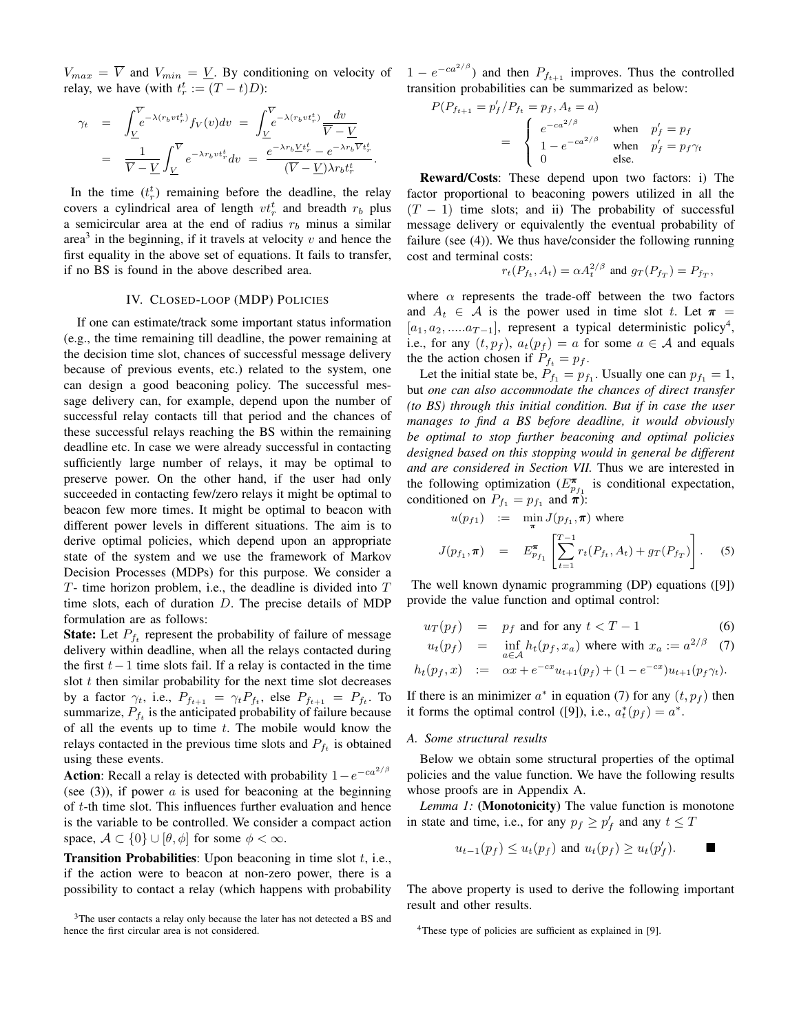$V_{max} = \overline{V}$  and  $V_{min} = \underline{V}$ . By conditioning on velocity of  $1 - e^{-ca^{2/\beta}}$  and then  $P_{f_{t+1}}$  improves. Thus the controlled relay, we have (with  $t_r^t := (T - t)D$ ):

$$
\gamma_t = \int_{\underline{V}}^{\overline{V}} e^{-\lambda (r_b v t_r^t)} f_V(v) dv = \int_{\underline{V}}^{\overline{V}} e^{-\lambda (r_b v t_r^t)} \frac{dv}{\overline{V} - \underline{V}} \n= \frac{1}{\overline{V} - \underline{V}} \int_{\underline{V}}^{\overline{V}} e^{-\lambda r_b v t_r^t} dv = \frac{e^{-\lambda r_b \underline{V} t_r^t} - e^{-\lambda r_b \overline{V} t_r^t}}{(\overline{V} - \underline{V}) \lambda r_b t_r^t}.
$$

In the time  $(t_r^t)$  remaining before the deadline, the relay covers a cylindrical area of length  $vt_r^t$  and breadth  $r_b$  plus a semicircular area at the end of radius  $r_b$  minus a similar area<sup>3</sup> in the beginning, if it travels at velocity  $v$  and hence the first equality in the above set of equations. It fails to transfer, if no BS is found in the above described area.

## IV. CLOSED-LOOP (MDP) POLICIES

If one can estimate/track some important status information (e.g., the time remaining till deadline, the power remaining at the decision time slot, chances of successful message delivery because of previous events, etc.) related to the system, one can design a good beaconing policy. The successful message delivery can, for example, depend upon the number of successful relay contacts till that period and the chances of these successful relays reaching the BS within the remaining deadline etc. In case we were already successful in contacting sufficiently large number of relays, it may be optimal to preserve power. On the other hand, if the user had only succeeded in contacting few/zero relays it might be optimal to beacon few more times. It might be optimal to beacon with different power levels in different situations. The aim is to derive optimal policies, which depend upon an appropriate state of the system and we use the framework of Markov Decision Processes (MDPs) for this purpose. We consider a  $T$ - time horizon problem, i.e., the deadline is divided into  $T$ time slots, each of duration  $D$ . The precise details of MDP formulation are as follows:

**State:** Let  $P_{f_t}$  represent the probability of failure of message delivery within deadline, when all the relays contacted during the first  $t-1$  time slots fail. If a relay is contacted in the time slot  $t$  then similar probability for the next time slot decreases by a factor  $\gamma_t$ , i.e.,  $P_{f_{t+1}} = \gamma_t P_{f_t}$ , else  $P_{f_{t+1}} = P_{f_t}$ . To summarize,  $P_{f_t}$  is the anticipated probability of failure because of all the events up to time  $t$ . The mobile would know the relays contacted in the previous time slots and  $P_{f_t}$  is obtained using these events.

**Action**: Recall a relay is detected with probability  $1 - e^{-ca^{2/\beta}}$ (see  $(3)$ ), if power a is used for beaconing at the beginning of t-th time slot. This influences further evaluation and hence is the variable to be controlled. We consider a compact action space,  $A \subset \{0\} \cup [\theta, \phi]$  for some  $\phi < \infty$ .

**Transition Probabilities:** Upon beaconing in time slot  $t$ , i.e., if the action were to beacon at non-zero power, there is a possibility to contact a relay (which happens with probability transition probabilities can be summarized as below:

$$
P(P_{f_{t+1}} = p'_f/P_{f_t} = p_f, A_t = a)
$$
  
= 
$$
\begin{cases} e^{-ca^{2/\beta}} & \text{when } p'_f = p_f \\ 1 - e^{-ca^{2/\beta}} & \text{when } p'_f = p_f \gamma_t \\ 0 & \text{else.} \end{cases}
$$

Reward/Costs: These depend upon two factors: i) The factor proportional to beaconing powers utilized in all the  $(T - 1)$  time slots; and ii) The probability of successful message delivery or equivalently the eventual probability of failure (see (4)). We thus have/consider the following running cost and terminal costs:

$$
r_t(P_{f_t}, A_t) = \alpha A_t^{2/\beta} \text{ and } g_T(P_{f_T}) = P_{f_T},
$$

where  $\alpha$  represents the trade-off between the two factors and  $A_t \in \mathcal{A}$  is the power used in time slot t. Let  $\pi$  =  $[a_1, a_2, \dots, a_{T-1}]$ , represent a typical deterministic policy<sup>4</sup>, i.e., for any  $(t, p_f)$ ,  $a_t(p_f) = a$  for some  $a \in \mathcal{A}$  and equals the the action chosen if  $P_{f_t} = p_f$ .

Let the initial state be,  $P_{f_1} = p_{f_1}$ . Usually one can  $p_{f_1} = 1$ , but *one can also accommodate the chances of direct transfer (to BS) through this initial condition. But if in case the user manages to find a BS before deadline, it would obviously be optimal to stop further beaconing and optimal policies designed based on this stopping would in general be different and are considered in Section VII.* Thus we are interested in the following optimization  $(E_{p_{f_1}}^{\pi}$  is conditional expectation, conditioned on  $P_{f_1} = p_{f_1}$  and  $\pi$ ):

$$
u(p_{f1}) := \min_{\pi} J(p_{f1}, \pi) \text{ where}
$$
  

$$
J(p_{f1}, \pi) = E_{p_{f1}}^{\pi} \left[ \sum_{t=1}^{T-1} r_t(P_{ft}, A_t) + g_T(P_{fT}) \right].
$$
 (5)

The well known dynamic programming (DP) equations ([9]) provide the value function and optimal control:

$$
u_T(p_f) = p_f \text{ and for any } t < T - 1 \tag{6}
$$

$$
u_t(p_f) = \inf_{a \in \mathcal{A}} h_t(p_f, x_a) \text{ where with } x_a := a^{2/\beta} \quad (7)
$$

$$
h_t(p_f, x) := \alpha x + e^{-cx} u_{t+1}(p_f) + (1 - e^{-cx}) u_{t+1}(p_f \gamma_t).
$$

If there is an minimizer  $a^*$  in equation (7) for any  $(t, p_f)$  then it forms the optimal control ([9]), i.e.,  $a_t^*(p_f) = a^*$ .

#### *A. Some structural results*

Below we obtain some structural properties of the optimal policies and the value function. We have the following results whose proofs are in Appendix A.

*Lemma 1:* (Monotonicity) The value function is monotone in state and time, i.e., for any  $p_f \ge p'_f$  and any  $t \le T$ 

$$
u_{t-1}(p_f) \le u_t(p_f) \text{ and } u_t(p_f) \ge u_t(p'_f). \qquad \blacksquare
$$

The above property is used to derive the following important result and other results.

 $3$ The user contacts a relay only because the later has not detected a BS and hence the first circular area is not considered.

<sup>&</sup>lt;sup>4</sup>These type of policies are sufficient as explained in [9].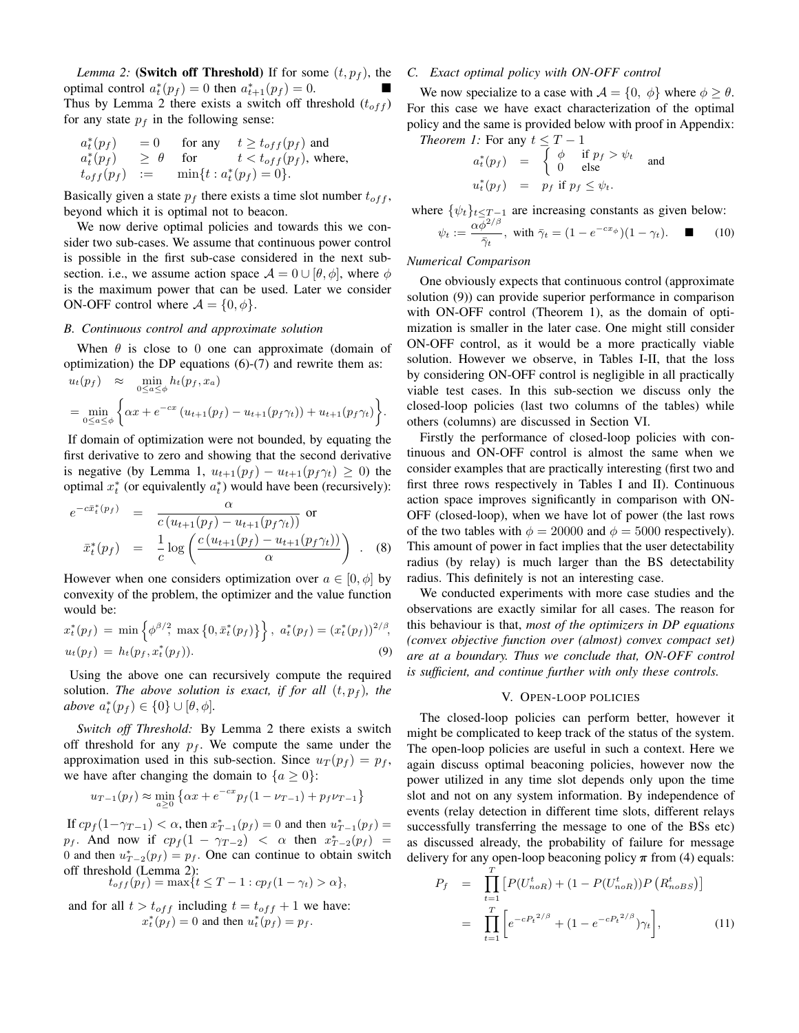*Lemma 2:* (Switch off Threshold) If for some  $(t, p_f)$ , the optimal control  $a_t^*(p_f) = 0$  then  $a_{t+1}^*(p_f) = 0$ . Thus by Lemma 2 there exists a switch off threshold  $(t_{off})$ for any state  $p_f$  in the following sense:

$$
a_t^*(p_f) = 0 \tfor any  $t \ge t_{off}(p_f)$  and  
\n
$$
a_t^*(p_f) \ge \theta \tfor t < t_{off}(p_f), \text{ where,}
$$
\n
$$
t_{off}(p_f) := \min\{t : a_t^*(p_f) = 0\}.
$$
$$

Basically given a state  $p_f$  there exists a time slot number  $t_{off}$ , beyond which it is optimal not to beacon.

We now derive optimal policies and towards this we consider two sub-cases. We assume that continuous power control is possible in the first sub-case considered in the next subsection. i.e., we assume action space  $\mathcal{A} = 0 \cup [\theta, \phi]$ , where  $\phi$ is the maximum power that can be used. Later we consider ON-OFF control where  $\mathcal{A} = \{0, \phi\}.$ 

#### *B. Continuous control and approximate solution*

When  $\theta$  is close to 0 one can approximate (domain of optimization) the DP equations  $(6)-(7)$  and rewrite them as:  $u_t(p_f) \approx \min_{0 \leq a \leq \phi} h_t(p_f, x_a)$ 

$$
= \min_{0 \leq a \leq \phi} \left\{ \alpha x + e^{-cx} \left( u_{t+1}(p_f) - u_{t+1}(p_f \gamma_t) \right) + u_{t+1}(p_f \gamma_t) \right\}.
$$

If domain of optimization were not bounded, by equating the first derivative to zero and showing that the second derivative is negative (by Lemma 1,  $u_{t+1}(p_f) - u_{t+1}(p_f \gamma_t) \geq 0$ ) the optimal  $x_t^*$  (or equivalently  $a_t^*$ ) would have been (recursively):

$$
e^{-c\bar{x}_t^*(p_f)} = \frac{\alpha}{c(u_{t+1}(p_f) - u_{t+1}(p_f \gamma_t))}
$$
 or  

$$
\bar{x}_t^*(p_f) = \frac{1}{c}\log\left(\frac{c(u_{t+1}(p_f) - u_{t+1}(p_f \gamma_t))}{\alpha}\right)
$$
. (8)

However when one considers optimization over  $a \in [0, \phi]$  by convexity of the problem, the optimizer and the value function would be:

$$
x_t^*(p_f) = \min\left\{\phi^{\beta/2}, \max\left\{0, \bar{x}_t^*(p_f)\right\}\right\}, \ a_t^*(p_f) = \left(x_t^*(p_f)\right)^{2/\beta},
$$
  
\n
$$
u_t(p_f) = h_t(p_f, x_t^*(p_f)).
$$
\n(9)

Using the above one can recursively compute the required solution. *The above solution is exact, if for all*  $(t, p_f)$ *, the above*  $a_t^*(p_f) \in \{0\} \cup [\theta, \phi]$ *.* 

*Switch off Threshold:* By Lemma 2 there exists a switch off threshold for any  $p_f$ . We compute the same under the approximation used in this sub-section. Since  $u_T(p_f) = p_f$ , we have after changing the domain to  ${a \geq 0}$ :

$$
u_{T-1}(p_f) \approx \min_{a \ge 0} \left\{ \alpha x + e^{-cx} p_f(1 - \nu_{T-1}) + p_f \nu_{T-1} \right\}
$$

If  $cp_f(1-\gamma_{T-1}) < \alpha$ , then  $x_{T-1}^*(p_f) = 0$  and then  $u_{T-1}^*(p_f) =$  $p_f$ . And now if  $cp_f(1 - \gamma_{T-2}) < \alpha$  then  $x_{T-2}^*(p_f) =$ 0 and then  $u_{T-2}^*(p_f) = p_f$ . One can continue to obtain switch off threshold (Lemma 2):

$$
t_{off}(p_f) = \max\{t \leq T - 1 : cp_f(1 - \gamma_t) > \alpha\},\
$$

and for all  $t > t_{off}$  including  $t = t_{off} + 1$  we have:  $x_t^*(p_f) = 0$  and then  $u_t^*(p_f) = p_f$ .

#### *C. Exact optimal policy with ON-OFF control*

We now specialize to a case with  $A = \{0, \phi\}$  where  $\phi \ge \theta$ . For this case we have exact characterization of the optimal policy and the same is provided below with proof in Appendix: *Theorem 1:* For any  $t \leq T - 1$ 

$$
a_t^*(p_f) = \begin{cases} \phi & \text{if } p_f > \psi_t \\ 0 & \text{else} \end{cases} \text{ and}
$$
  

$$
u_t^*(p_f) = p_f \text{ if } p_f \le \psi_t.
$$

where  $\{\psi_t\}_{t \leq T-1}$  are increasing constants as given below:

$$
\psi_t := \frac{\alpha \overline{\phi}^{2/\beta}}{\overline{\gamma}_t}, \text{ with } \overline{\gamma}_t = (1 - e^{-cx_{\phi}})(1 - \gamma_t). \quad \blacksquare \tag{10}
$$

#### *Numerical Comparison*

One obviously expects that continuous control (approximate solution (9)) can provide superior performance in comparison with ON-OFF control (Theorem 1), as the domain of optimization is smaller in the later case. One might still consider ON-OFF control, as it would be a more practically viable solution. However we observe, in Tables I-II, that the loss by considering ON-OFF control is negligible in all practically viable test cases. In this sub-section we discuss only the closed-loop policies (last two columns of the tables) while others (columns) are discussed in Section VI.

Firstly the performance of closed-loop policies with continuous and ON-OFF control is almost the same when we consider examples that are practically interesting (first two and first three rows respectively in Tables I and II). Continuous action space improves significantly in comparison with ON-OFF (closed-loop), when we have lot of power (the last rows of the two tables with  $\phi = 20000$  and  $\phi = 5000$  respectively). This amount of power in fact implies that the user detectability radius (by relay) is much larger than the BS detectability radius. This definitely is not an interesting case.

We conducted experiments with more case studies and the observations are exactly similar for all cases. The reason for this behaviour is that, *most of the optimizers in DP equations (convex objective function over (almost) convex compact set) are at a boundary. Thus we conclude that, ON-OFF control is sufficient, and continue further with only these controls.*

#### V. OPEN-LOOP POLICIES

The closed-loop policies can perform better, however it might be complicated to keep track of the status of the system. The open-loop policies are useful in such a context. Here we again discuss optimal beaconing policies, however now the power utilized in any time slot depends only upon the time slot and not on any system information. By independence of events (relay detection in different time slots, different relays successfully transferring the message to one of the BSs etc) as discussed already, the probability of failure for message delivery for any open-loop beaconing policy  $\pi$  from (4) equals:

$$
P_f = \prod_{t=1}^T \left[ P(U_{noR}^t) + (1 - P(U_{noR}^t)) P(R_{noBS}^t) \right]
$$
  
= 
$$
\prod_{t=1}^T \left[ e^{-cP_t^{2/\beta}} + (1 - e^{-cP_t^{2/\beta}}) \gamma_t \right],
$$
 (11)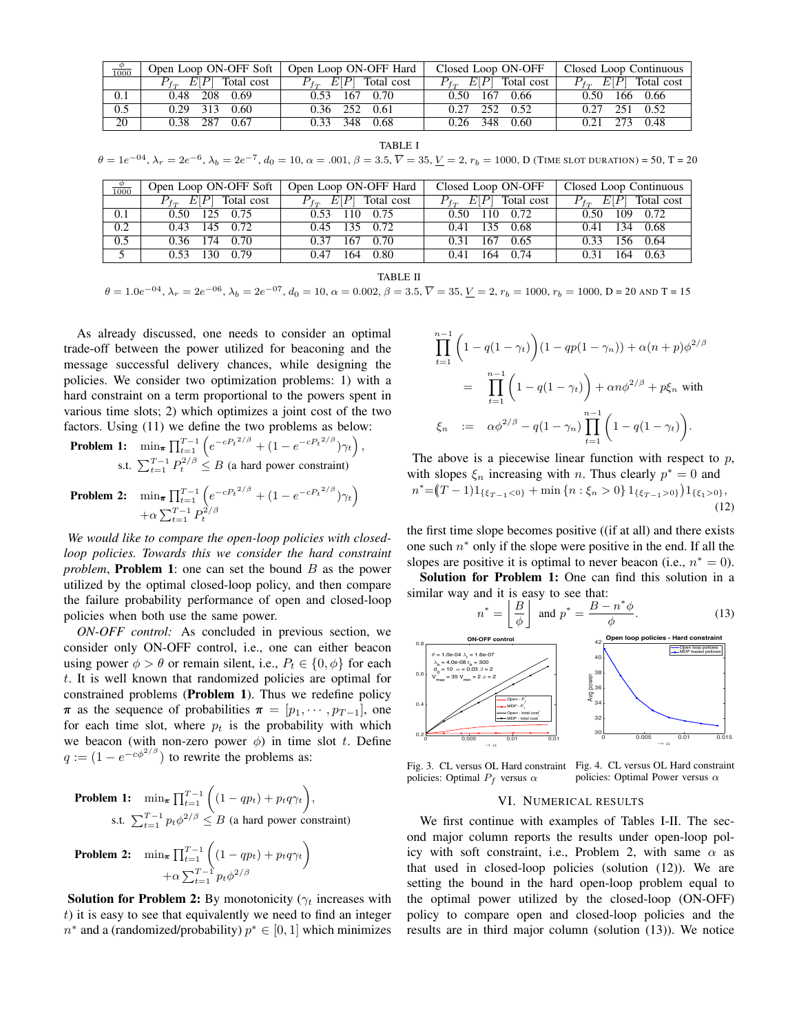| $\frac{\varphi}{1000}$ | Open Loop ON-OFF Soft      | Open Loop ON-OFF Hard      | Closed Loop ON-OFF          | Closed Loop Continuous      |
|------------------------|----------------------------|----------------------------|-----------------------------|-----------------------------|
|                        | $P_{tr}$ $E[P]$ Total cost | $P_{tr}$ $E[P]$ Total cost | $P_{f_T}$ $E[P]$ Total cost | $P_{f_T}$ $E[P]$ Total cost |
| 0.1                    | 0.48 208 0.69              | 0.53 167 0.70              | 0.50 167 0.66               | 0.50 166 0.66               |
| 0.5                    | $0.29$ 313 $0.60$          | $0.36$ 252 $0.61$          | 0.27 252 0.52               | $0.27$ 251 $0.52$           |
| 20                     | 0.38 287 0.67              | 0.33 348 0.68              | 0.26 348 0.60               | 0.21 273 0.48               |

TABLE I

 $\theta = 1e^{-04}$ ,  $\lambda_r = 2e^{-6}$ ,  $\lambda_b = 2e^{-7}$ ,  $d_0 = 10$ ,  $\alpha = .001$ ,  $\beta = 3.5$ ,  $\overline{V} = 35$ ,  $\underline{V} = 2$ ,  $r_b = 1000$ , D (TIME SLOT DURATION) = 50, T = 20

| $\frac{\phi}{1000}$ | Open Loop ON-OFF Soft       | Open Loop ON-OFF Hard       | Closed Loop ON-OFF          | Closed Loop Continuous      |
|---------------------|-----------------------------|-----------------------------|-----------------------------|-----------------------------|
|                     | $P_{f_T}$ $E[P]$ Total cost | $P_{f_T}$ $E[P]$ Total cost | $P_{f_T}$ $E[P]$ Total cost | $P_{f_T}$ $E[P]$ Total cost |
| 0.1                 | 0.50 125 0.75               | 0.53 110 0.75               | 0.50 110 0.72               | 0.50 109 0.72               |
| 0.2                 | $0.43$ 145 $0.72$           | 0.45 135 0.72               | 135 0.68<br>0.41            | 0.41 134 0.68               |
| 0.5                 | 0.36 174 0.70               | $0.37$ 167 0.70             | 167 0.65<br>0.31            | 156 0.64<br>0.33            |
| 5                   | $0.53$ 130 0.79             | 164<br>0.80<br>0.47         | 164 0.74<br>0.41            | 164 0.63<br>0.31            |

TABLE II

 $\theta = 1.0e^{-0.4}$ ,  $\lambda_r = 2e^{-0.6}$ ,  $\lambda_b = 2e^{-0.7}$ ,  $d_0 = 10$ ,  $\alpha = 0.002$ ,  $\beta = 3.5$ ,  $\overline{V} = 35$ ,  $\underline{V} = 2$ ,  $r_b = 1000$ ,  $r_b = 1000$ ,  $D = 20$  and  $T = 15$ 

As already discussed, one needs to consider an optimal trade-off between the power utilized for beaconing and the message successful delivery chances, while designing the policies. We consider two optimization problems: 1) with a hard constraint on a term proportional to the powers spent in various time slots; 2) which optimizes a joint cost of the two factors. Using (11) we define the two problems as below:

**Problem 1:** 
$$
\min_{\boldsymbol{\pi}} \prod_{t=1}^{T-1} \left( e^{-cP_t^{2/\beta}} + (1 - e^{-cP_t^{2/\beta}}) \gamma_t \right),
$$
 s.t. 
$$
\sum_{t=1}^{T-1} P_t^{2/\beta} \leq B
$$
 (a hard power constraint)

**Problem 2:** 
$$
\min_{\pi} \prod_{t=1}^{T-1} \left( e^{-cP_t^{2/\beta}} + (1 - e^{-cP_t^{2/\beta}}) \gamma_t \right) + \alpha \sum_{t=1}^{T-1} P_t^{2/\beta}
$$

*We would like to compare the open-loop policies with closedloop policies. Towards this we consider the hard constraint problem*, **Problem 1**: one can set the bound B as the power utilized by the optimal closed-loop policy, and then compare the failure probability performance of open and closed-loop policies when both use the same power.

*ON-OFF control:* As concluded in previous section, we consider only ON-OFF control, i.e., one can either beacon using power  $\phi > \theta$  or remain silent, i.e.,  $P_t \in \{0, \phi\}$  for each t. It is well known that randomized policies are optimal for constrained problems (Problem 1). Thus we redefine policy  $\pi$  as the sequence of probabilities  $\pi = [p_1, \cdots, p_{T-1}]$ , one for each time slot, where  $p_t$  is the probability with which we beacon (with non-zero power  $\phi$ ) in time slot t. Define  $q := (1 - e^{-c\phi^{2/\beta}})$  to rewrite the problems as:

**Problem 1:** 
$$
\min_{\boldsymbol{\pi}} \prod_{t=1}^{T-1} \left( (1 - qp_t) + p_t q \gamma_t \right),
$$
  
s.t. 
$$
\sum_{t=1}^{T-1} p_t \phi^{2/\beta} \leq B \text{ (a hard power constraint)}
$$

Problem 2: 
$$
\min_{\boldsymbol{\pi}} \prod_{t=1}^{T-1} \left( (1 - qp_t) + p_t q \gamma_t \right) + \alpha \sum_{t=1}^{T-1} p_t \phi^{2/\beta}
$$

**Solution for Problem 2:** By monotonicity ( $\gamma_t$  increases with  $t$ ) it is easy to see that equivalently we need to find an integer  $n^*$  and a (randomized/probability)  $p^* \in [0, 1]$  which minimizes

$$
\prod_{t=1}^{n-1} \left( 1 - q(1 - \gamma_t) \right) (1 - qp(1 - \gamma_n)) + \alpha (n + p) \phi^{2/\beta}
$$
\n
$$
= \prod_{t=1}^{n-1} \left( 1 - q(1 - \gamma_t) \right) + \alpha n \phi^{2/\beta} + p \xi_n \text{ with}
$$
\n
$$
\xi_n := \alpha \phi^{2/\beta} - q(1 - \gamma_n) \prod_{t=1}^{n-1} \left( 1 - q(1 - \gamma_t) \right).
$$

The above is a piecewise linear function with respect to  $p$ , with slopes  $\xi_n$  increasing with *n*. Thus clearly  $p^* = 0$  and  $n^* = (T-1)1_{\{\xi_{T-1} < 0\}} + \min\{n : \xi_n > 0\} 1_{\{\xi_{T-1} > 0\}} 1_{\{\xi_1 > 0\}},$  $(12)$ 

the first time slope becomes positive ((if at all) and there exists one such  $n^*$  only if the slope were positive in the end. If all the slopes are positive it is optimal to never beacon (i.e.,  $n^* = 0$ ).

Solution for Problem 1: One can find this solution in a similar way and it is easy to see that:



Fig. 3. CL versus OL Hard constraint Fig. 4. CL versus OL Hard constraint policies: Optimal  $P_f$  versus  $\alpha$ policies: Optimal Power versus  $\alpha$ 

 $\rightarrow \alpha$ 

 $\rightarrow \alpha$ 

#### VI. NUMERICAL RESULTS

We first continue with examples of Tables I-II. The second major column reports the results under open-loop policy with soft constraint, i.e., Problem 2, with same  $\alpha$  as that used in closed-loop policies (solution (12)). We are setting the bound in the hard open-loop problem equal to the optimal power utilized by the closed-loop (ON-OFF) policy to compare open and closed-loop policies and the results are in third major column (solution (13)). We notice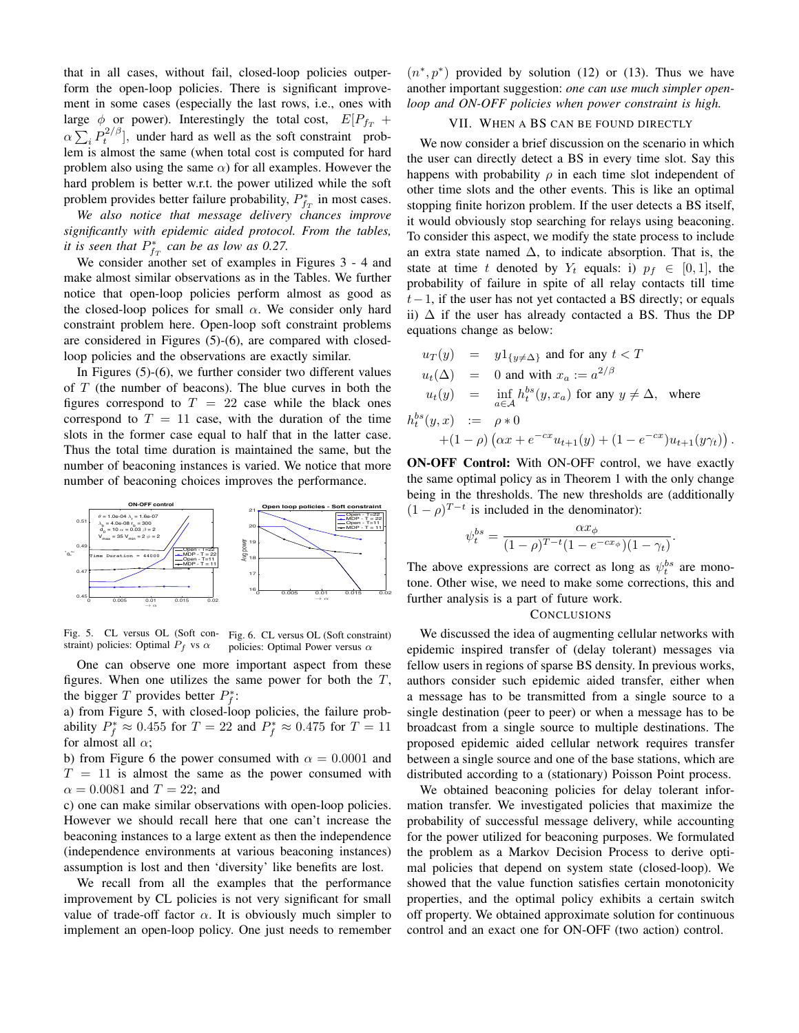that in all cases, without fail, closed-loop policies outperform the open-loop policies. There is significant improvement in some cases (especially the last rows, i.e., ones with large  $\phi$  or power). Interestingly the total cost,  $E[P_{fT} +$  $\alpha \sum_i P_t^{2/\beta}$ , under hard as well as the soft constraint problem is almost the same (when total cost is computed for hard problem also using the same  $\alpha$ ) for all examples. However the hard problem is better w.r.t. the power utilized while the soft problem provides better failure probability,  $P_{f_T}^*$  in most cases.

*We also notice that message delivery chances improve significantly with epidemic aided protocol. From the tables, it is seen that*  $P_{f_T}^*$  *can be as low as 0.27.* 

We consider another set of examples in Figures 3 - 4 and make almost similar observations as in the Tables. We further notice that open-loop policies perform almost as good as the closed-loop polices for small  $\alpha$ . We consider only hard constraint problem here. Open-loop soft constraint problems are considered in Figures (5)-(6), are compared with closedloop policies and the observations are exactly similar.

In Figures (5)-(6), we further consider two different values of  $T$  (the number of beacons). The blue curves in both the figures correspond to  $T = 22$  case while the black ones correspond to  $T = 11$  case, with the duration of the time slots in the former case equal to half that in the latter case. Thus the total time duration is maintained the same, but the number of beaconing instances is varied. We notice that more number of beaconing choices improves the performance.



Fig. 5. CL versus OL (Soft con-Fig. 6. CL versus OL (Soft constraint) straint) policies: Optimal  $P_f$  vs  $\alpha$ policies: Optimal Power versus  $\alpha$ 

One can observe one more important aspect from these figures. When one utilizes the same power for both the  $T$ , the bigger T provides better  $P_f^*$ :

a) from Figure 5, with closed-loop policies, the failure probability  $P_f^* \approx 0.455$  for  $T = 22$  and  $P_f^* \approx 0.475$  for  $T = 11$ for almost all  $\alpha$ ;

b) from Figure 6 the power consumed with  $\alpha = 0.0001$  and  $T = 11$  is almost the same as the power consumed with  $\alpha = 0.0081$  and  $T = 22$ ; and

c) one can make similar observations with open-loop policies. However we should recall here that one can't increase the beaconing instances to a large extent as then the independence (independence environments at various beaconing instances) assumption is lost and then 'diversity' like benefits are lost.

We recall from all the examples that the performance improvement by CL policies is not very significant for small value of trade-off factor  $\alpha$ . It is obviously much simpler to implement an open-loop policy. One just needs to remember

 $(n^*, p^*)$  provided by solution (12) or (13). Thus we have another important suggestion: *one can use much simpler openloop and ON-OFF policies when power constraint is high.*

#### VII. WHEN A BS CAN BE FOUND DIRECTLY

We now consider a brief discussion on the scenario in which the user can directly detect a BS in every time slot. Say this happens with probability  $\rho$  in each time slot independent of other time slots and the other events. This is like an optimal stopping finite horizon problem. If the user detects a BS itself, it would obviously stop searching for relays using beaconing. To consider this aspect, we modify the state process to include an extra state named  $\Delta$ , to indicate absorption. That is, the state at time t denoted by  $Y_t$  equals: i)  $p_f \in [0, 1]$ , the probability of failure in spite of all relay contacts till time  $t-1$ , if the user has not yet contacted a BS directly; or equals ii)  $\Delta$  if the user has already contacted a BS. Thus the DP equations change as below:

$$
u_T(y) = y1_{\{y \neq \Delta\}} \text{ and for any } t < T
$$
  
\n
$$
u_t(\Delta) = 0 \text{ and with } x_a := a^{2/\beta}
$$
  
\n
$$
u_t(y) = \inf_{a \in A} h_t^{bs}(y, x_a) \text{ for any } y \neq \Delta, \text{ where}
$$
  
\n
$$
h_t^{bs}(y, x) := \rho * 0
$$
  
\n
$$
+(1 - \rho) (\alpha x + e^{-cx} u_{t+1}(y) + (1 - e^{-cx}) u_{t+1}(y\gamma_t))
$$

ON-OFF Control: With ON-OFF control, we have exactly the same optimal policy as in Theorem 1 with the only change being in the thresholds. The new thresholds are (additionally  $(1 - \rho)^{T-t}$  is included in the denominator):

.

.

$$
\psi_t^{bs} = \frac{\alpha x_{\phi}}{(1 - \rho)^{T - t} (1 - e^{-c x_{\phi}})(1 - \gamma_t)}
$$

The above expressions are correct as long as  $\psi_t^{bs}$  are monotone. Other wise, we need to make some corrections, this and further analysis is a part of future work.

#### **CONCLUSIONS**

We discussed the idea of augmenting cellular networks with epidemic inspired transfer of (delay tolerant) messages via fellow users in regions of sparse BS density. In previous works, authors consider such epidemic aided transfer, either when a message has to be transmitted from a single source to a single destination (peer to peer) or when a message has to be broadcast from a single source to multiple destinations. The proposed epidemic aided cellular network requires transfer between a single source and one of the base stations, which are distributed according to a (stationary) Poisson Point process.

We obtained beaconing policies for delay tolerant information transfer. We investigated policies that maximize the probability of successful message delivery, while accounting for the power utilized for beaconing purposes. We formulated the problem as a Markov Decision Process to derive optimal policies that depend on system state (closed-loop). We showed that the value function satisfies certain monotonicity properties, and the optimal policy exhibits a certain switch off property. We obtained approximate solution for continuous control and an exact one for ON-OFF (two action) control.